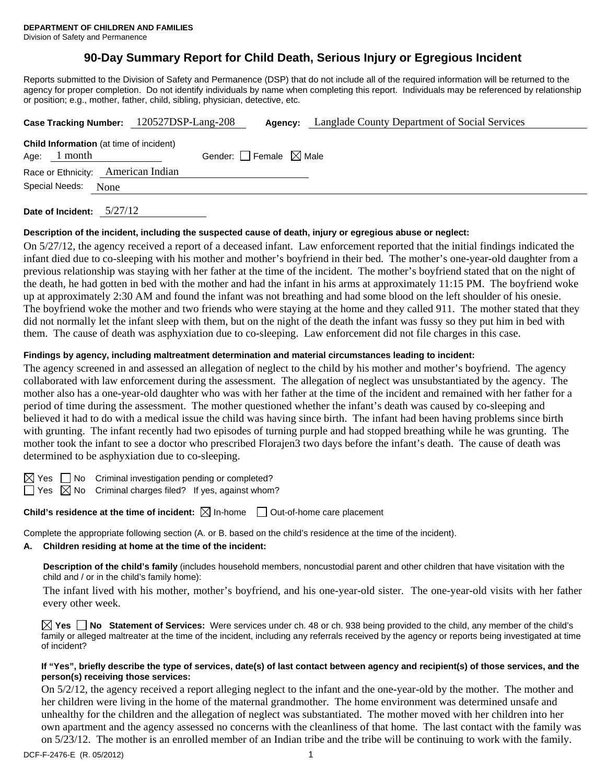# **90-Day Summary Report for Child Death, Serious Injury or Egregious Incident**

Reports submitted to the Division of Safety and Permanence (DSP) that do not include all of the required information will be returned to the agency for proper completion. Do not identify individuals by name when completing this report. Individuals may be referenced by relationship or position; e.g., mother, father, child, sibling, physician, detective, etc.

|                     |                | Case Tracking Number: 120527DSP-Lang-208       |                                 | Agency: | Langlade County Department of Social Services |  |
|---------------------|----------------|------------------------------------------------|---------------------------------|---------|-----------------------------------------------|--|
|                     | Age: $1$ month | <b>Child Information</b> (at time of incident) | Gender: Female $\boxtimes$ Male |         |                                               |  |
|                     |                | Race or Ethnicity: American Indian             |                                 |         |                                               |  |
| Special Needs: None |                |                                                |                                 |         |                                               |  |
|                     |                |                                                |                                 |         |                                               |  |

**Date of Incident:** 5/27/12

# **Description of the incident, including the suspected cause of death, injury or egregious abuse or neglect:**

On 5/27/12, the agency received a report of a deceased infant. Law enforcement reported that the initial findings indicated the infant died due to co-sleeping with his mother and mother's boyfriend in their bed. The mother's one-year-old daughter from a previous relationship was staying with her father at the time of the incident. The mother's boyfriend stated that on the night of the death, he had gotten in bed with the mother and had the infant in his arms at approximately 11:15 PM. The boyfriend woke up at approximately 2:30 AM and found the infant was not breathing and had some blood on the left shoulder of his onesie. The boyfriend woke the mother and two friends who were staying at the home and they called 911. The mother stated that they did not normally let the infant sleep with them, but on the night of the death the infant was fussy so they put him in bed with them. The cause of death was asphyxiation due to co-sleeping. Law enforcement did not file charges in this case.

#### **Findings by agency, including maltreatment determination and material circumstances leading to incident:**

The agency screened in and assessed an allegation of neglect to the child by his mother and mother's boyfriend. The agency collaborated with law enforcement during the assessment. The allegation of neglect was unsubstantiated by the agency. The mother also has a one-year-old daughter who was with her father at the time of the incident and remained with her father for a period of time during the assessment. The mother questioned whether the infant's death was caused by co-sleeping and believed it had to do with a medical issue the child was having since birth. The infant had been having problems since birth with grunting. The infant recently had two episodes of turning purple and had stopped breathing while he was grunting. The mother took the infant to see a doctor who prescribed Florajen3 two days before the infant's death. The cause of death was determined to be asphyxiation due to co-sleeping.

 $\boxtimes$  Yes  $\Box$  No Criminal investigation pending or completed?

 $\Box$  Yes  $\boxtimes$  No Criminal charges filed? If yes, against whom?

# **Child's residence at the time of incident:**  $\boxtimes$  In-home  $\Box$  Out-of-home care placement

Complete the appropriate following section (A. or B. based on the child's residence at the time of the incident).

# **A. Children residing at home at the time of the incident:**

**Description of the child's family** (includes household members, noncustodial parent and other children that have visitation with the child and / or in the child's family home):

The infant lived with his mother, mother's boyfriend, and his one-year-old sister. The one-year-old visits with her father every other week.

**Yes No Statement of Services:** Were services under ch. 48 or ch. 938 being provided to the child, any member of the child's family or alleged maltreater at the time of the incident, including any referrals received by the agency or reports being investigated at time of incident?

# **If "Yes", briefly describe the type of services, date(s) of last contact between agency and recipient(s) of those services, and the person(s) receiving those services:**

On 5/2/12, the agency received a report alleging neglect to the infant and the one-year-old by the mother. The mother and her children were living in the home of the maternal grandmother. The home environment was determined unsafe and unhealthy for the children and the allegation of neglect was substantiated. The mother moved with her children into her own apartment and the agency assessed no concerns with the cleanliness of that home. The last contact with the family was on 5/23/12. The mother is an enrolled member of an Indian tribe and the tribe will be continuing to work with the family.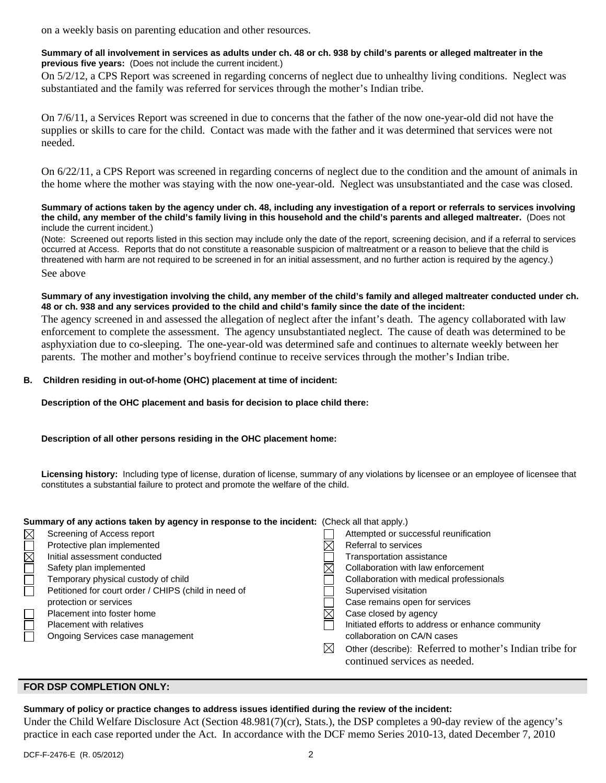on a weekly basis on parenting education and other resources.

#### **Summary of all involvement in services as adults under ch. 48 or ch. 938 by child's parents or alleged maltreater in the previous five years:** (Does not include the current incident.)

On 5/2/12, a CPS Report was screened in regarding concerns of neglect due to unhealthy living conditions. Neglect was substantiated and the family was referred for services through the mother's Indian tribe.

On 7/6/11, a Services Report was screened in due to concerns that the father of the now one-year-old did not have the supplies or skills to care for the child. Contact was made with the father and it was determined that services were not needed.

On 6/22/11, a CPS Report was screened in regarding concerns of neglect due to the condition and the amount of animals in the home where the mother was staying with the now one-year-old. Neglect was unsubstantiated and the case was closed.

**Summary of actions taken by the agency under ch. 48, including any investigation of a report or referrals to services involving the child, any member of the child's family living in this household and the child's parents and alleged maltreater.** (Does not include the current incident.)

(Note: Screened out reports listed in this section may include only the date of the report, screening decision, and if a referral to services occurred at Access. Reports that do not constitute a reasonable suspicion of maltreatment or a reason to believe that the child is threatened with harm are not required to be screened in for an initial assessment, and no further action is required by the agency.) See above

#### **Summary of any investigation involving the child, any member of the child's family and alleged maltreater conducted under ch. 48 or ch. 938 and any services provided to the child and child's family since the date of the incident:**

The agency screened in and assessed the allegation of neglect after the infant's death. The agency collaborated with law enforcement to complete the assessment. The agency unsubstantiated neglect. The cause of death was determined to be asphyxiation due to co-sleeping. The one-year-old was determined safe and continues to alternate weekly between her parents. The mother and mother's boyfriend continue to receive services through the mother's Indian tribe.

# **B. Children residing in out-of-home (OHC) placement at time of incident:**

**Description of the OHC placement and basis for decision to place child there:** 

# **Description of all other persons residing in the OHC placement home:**

**Licensing history:** Including type of license, duration of license, summary of any violations by licensee or an employee of licensee that constitutes a substantial failure to protect and promote the welfare of the child.

# **Summary of any actions taken by agency in response to the incident:** (Check all that apply.)

| $\boxtimes$            | Screening of Access report                           |   | Attempted or successful reunification                                                    |
|------------------------|------------------------------------------------------|---|------------------------------------------------------------------------------------------|
| $\overline{\boxtimes}$ | Protective plan implemented                          |   | Referral to services                                                                     |
|                        | Initial assessment conducted                         |   | Transportation assistance                                                                |
|                        | Safety plan implemented                              |   | Collaboration with law enforcement                                                       |
|                        | Temporary physical custody of child                  |   | Collaboration with medical professionals                                                 |
|                        | Petitioned for court order / CHIPS (child in need of |   | Supervised visitation                                                                    |
|                        | protection or services                               |   | Case remains open for services                                                           |
|                        | Placement into foster home                           |   | Case closed by agency                                                                    |
|                        | <b>Placement with relatives</b>                      |   | Initiated efforts to address or enhance community                                        |
|                        | Ongoing Services case management                     |   | collaboration on CA/N cases                                                              |
|                        |                                                      | ⊠ | Other (describe): Referred to mother's Indian tribe for<br>continued services as needed. |

# **FOR DSP COMPLETION ONLY:**

# **Summary of policy or practice changes to address issues identified during the review of the incident:**

Under the Child Welfare Disclosure Act (Section 48.981(7)(cr), Stats.), the DSP completes a 90-day review of the agency's practice in each case reported under the Act. In accordance with the DCF memo Series 2010-13, dated December 7, 2010